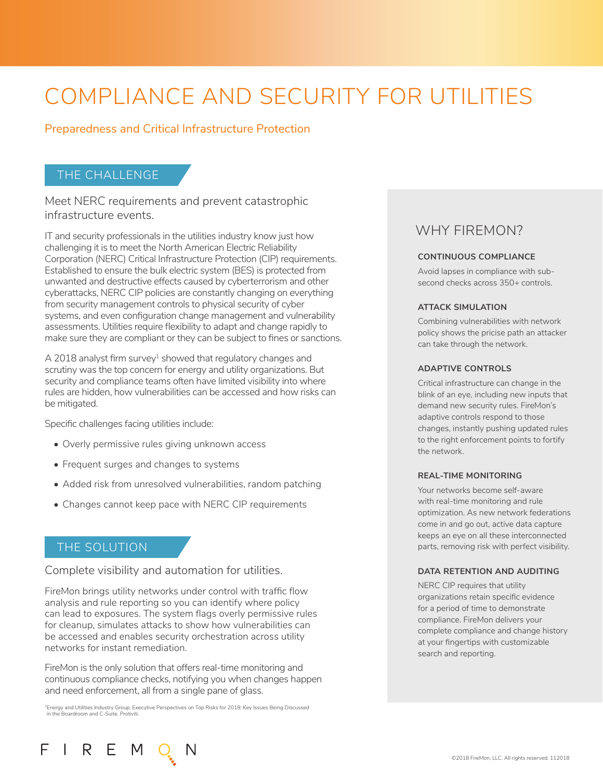# COMPLIANCE AND SECURITY FOR UTILITIES

### Preparedness and Critical Infrastructure Protection

## THE CHALLENGE

Meet NERC requirements and prevent catastrophic infrastructure events.

IT and security professionals in the utilities industry know just how challenging it is to meet the North American Electric Reliability Corporation (NERC) Critical Infrastructure Protection (CIP) requirements. Established to ensure the bulk electric system (BES) is protected from unwanted and destructive effects caused by cyberterrorism and other cyberattacks, NERC CIP policies are constantly changing on everything from security management controls to physical security of cyber systems, and even configuration change management and vulnerability assessments. Utilities require flexibility to adapt and change rapidly to make sure they are compliant or they can be subject to fines or sanctions.

A 2018 analyst firm survey<sup>1</sup> showed that regulatory changes and scrutiny was the top concern for energy and utility organizations. But security and compliance teams often have limited visibility into where rules are hidden, how vulnerabilities can be accessed and how risks can be mitigated.

Specific challenges facing utilities include:

- Overly permissive rules giving unknown access
- Frequent surges and changes to systems
- Added risk from unresolved vulnerabilities, random patching
- Changes cannot keep pace with NERC CIP requirements

#### THE SOLUTION

F

Complete visibility and automation for utilities.

FireMon brings utility networks under control with traffic flow analysis and rule reporting so you can identify where policy can lead to exposures. The system flags overly permissive rules for cleanup, simulates attacks to show how vulnerabilities can be accessed and enables security orchestration across utility networks for instant remediation.

FireMon is the only solution that offers real-time monitoring and continuous compliance checks, notifying you when changes happen and need enforcement, all from a single pane of glass.

<sup>1</sup>Energy and Utilities Industry Group. Executive Perspectives on Top Risks for 2018: Key Issues Being Discussed in the Boardroom and C-Suite. Protiviti.

## WHY FIREMON?

#### **CONTINUOUS COMPLIANCE**

Avoid lapses in compliance with subsecond checks across 350+ controls.

#### **ATTACK SIMULATION**

Combining vulnerabilities with network policy shows the pricise path an attacker can take through the network.

#### **ADAPTIVE CONTROLS**

Critical infrastructure can change in the blink of an eye, including new inputs that demand new security rules. FireMon's adaptive controls respond to those changes, instantly pushing updated rules to the right enforcement points to fortify the network.

#### **REAL-TIME MONITORING**

Your networks become self-aware with real-time monitoring and rule optimization. As new network federations come in and go out, active data capture keeps an eye on all these interconnected parts, removing risk with perfect visibility.

#### **DATA RETENTION AND AUDITING**

NERC CIP requires that utility organizations retain specific evidence for a period of time to demonstrate compliance. FireMon delivers your complete compliance and change history at your fingertips with customizable search and reporting.

## I R E M Q N